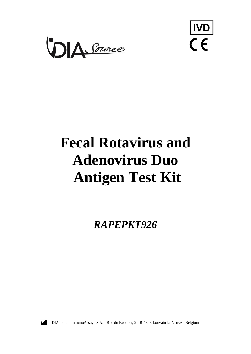



# **Fecal Rotavirus and Adenovirus Duo Antigen Test Kit**

*RAPEPKT926*



DIAsource ImmunoAssays S.A. - Rue du Bosquet, 2 - B-1348 Louvain-la-Neuve - Belgium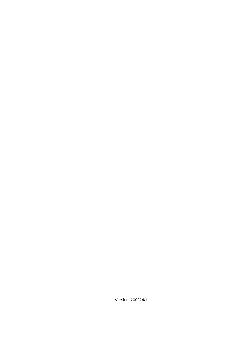Version: 200224/1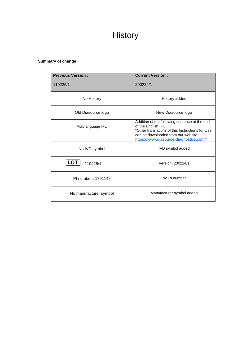### **Summary of change :**

| <b>Previous Version:</b> | <b>Current Version:</b>                                                                                                                                                                                    |
|--------------------------|------------------------------------------------------------------------------------------------------------------------------------------------------------------------------------------------------------|
| 110225/1                 | 200224/1                                                                                                                                                                                                   |
| No History               | History added                                                                                                                                                                                              |
| Old Diasource logo       | New Diasource logo                                                                                                                                                                                         |
| Multilanguage IFU        | Addition of the following sentence at the end<br>of the English IFU:<br>"Other translations of this Instructions for Use<br>can be downloaded from our website:<br>https://www.diasource-diagnostics.com/" |
| No IVD symbol            | IVD symbol added                                                                                                                                                                                           |
| <b>LOT</b><br>: 110225/1 | Version: 200224/1                                                                                                                                                                                          |
| PI number: 1701148       | No PI number                                                                                                                                                                                               |
| No manufacturer symbol   | Manufacturer symbol added                                                                                                                                                                                  |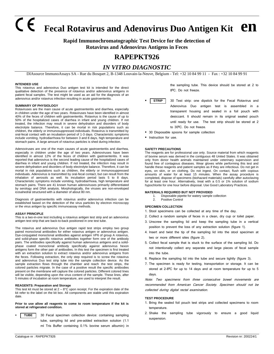# **Fecal Rotavirus and Adenovirus Duo Antigen Kit en**

### **Rapid Immunochromatographic Test Device for the detection of Rotavirus and Adenovirus Antigens in Feces**

## **RAPEPKT926**

## *IN VITRO DIAGNOSTIC*

DIAsource ImmunoAssays SA - Rue du Bosquet 2, B-1348 Louvain-la-Neuve, Belgium - Tel: +32 10 84 99 11 - Fax : +32 10 84 99 91

#### **INTENDED USE**

This rotavirus and adenovirus Duo antigen test kit is intended for the direct qualitative detection of the presence of rotavirus and/or adenovirus antigens in patient fecal samples. The test might be used as an aid for the diagnosis of an adenovirus and/or rotavirus infection resulting in acute gastroenteritis.

#### **SUMMARY OF PHYSIOLOGY**

Rotaviruses are the main cause of acute gastroenteritis and diarrhea, especially in children under the age of two years. Rotaviruses have been identified in almost 40% of the feces of children with gastroenteritis. Rotavirus is the cause of up to 50% of the hospitalized cases of diarrhea in infant and young children. If not treated, the infection may result in severe dehydration and disorders of body electrolyte balance. Therefore, it can be mortal in risk populations such as children, the elderly or immunosuppressed individuals. Rotavirus is transmitted by oral-fecal contact with an incubation period of 1-3 days. Characteristic symptoms include vomiting, hydrodiarrhoea for between 3 and 8 days, high temperature and stomach pains. A large amount of rotavirus particles is shed during infection.

Adenoviruses are one of the main causes of acute gastroenteritis and diarrhea, especially in children under the age of two years. Adenoviruses have been identified in almost 12% of the feces of children with gastroenteritis. It was reported that adenovirus is the second leading cause of the hospitalized cases of diarrhea in infant and young children. If not treated, the infection may result in severe dehydration and disorders of body electrolyte balance. Therefore, it can be mortal in risk populations such as children, the elderly or immunosuppressed individuals. Adenovirus is transmitted by oral-fecal contact, but can result from the inhalation of aerosols as well. Its incubation period lasts 5 to 8 days. Characteristic symptoms include vomiting, hydrodiarrhoea, high temperature and stomach pains. There are 41 known human adenoviruses primarily differentiated by serology and DNA analysis. Morphologically, the viruses are non-enveloped icosahedral structured with a diameter of about 80 nm.

Diagnosis of gastroenteritis with rotavirus and/or adenovirus infection can be established based on the detection of the virus particles by electron microscopy or the virus antigen by specific immunoassay methods.

#### **ASSAY PRINCIPLE**

This is a two-in-one test including a rotavirus antigen test strip and an adenovirus antigen test strip that are back-to-back positioned in one test tube.

The rotavirus and adenovirus Duo antigen rapid test strips employ two group paired monoclonal antibodies for either rotavirus antigen or adenovirus antigen. Dye-conjugated monoclonal antibodies against antigen VP6 of group A rotavirus, and solid-phase specific rotavirus antibodies together form one of the antibody pairs. The antibodies specifically against human adenovirus antigens and a solidphase coated monoclonal antibody specifically against adenovirus hexon antigens form the other pair of antibodies. In this test the specimen is first treated with an extraction solution to extract rotavirus and/or adenovirus antigens from the feces. Following extraction, the only step required is to screw the rotavirus and adenovirus Duo test strip tube into the sample collection device. As the sample extraction flows through the chamber and reach the test strips, the colored particles migrate. In the case of a positive result the specific antibodies present on the membrane will capture the colored particles. Different colored lines will be visible, depending upon the virus content of the sample. These lines, after 5 minutes of incubation at room temperature, are used to interpret the result.

#### **REAGENTS: Preparation and Storage**

This test kit must be stored at  $2 - 8^{\circ}$ C upon receipt. For the expiration date of the kit refer to the label on the kit box. All components are stable until this expiration date.

**Prior to use allow all reagents to come to room temperature if the kit is stored at refrigerated condition.**

30 Fecal specimen collection device: containing sampling tube, sampling lid and pre-added extraction solution (1.1 ml Tris Buffer containing 0.1% bovine serum albumin) in **TUBE**

the sampling tube. This device should be stored at 2 to 8ºC. Do not freeze.

- 30 Test strip: one dipstick for the Fecal Rotavirus and Adenovirus Duo antigen test is assembled in a transparent housing and sealed in a foil pouch with desiccant. It should remain in its original sealed pouch until ready for use. The test strip should be stored at 2 to 30ºC. Do not freeze. **STRIP**
- 30 Disposable spoons for sample collection
- **·** Instruction for use.

#### **SAFETY PRECAUTIONS**

The reagents are for professional use only. Source material from which reagents of bovine serum was derived in the contiguous 48 United States. It was obtained only from donor health animals maintained under veterinary supervision and found free of contagious diseases. Wear gloves while performing this test and handle these reagents and patient samples as if they are infectious. Do not get in eyes, on skin, or on clothing. Do not ingest. On contact, flush with copious amounts of water for at least 15 minutes. When the assay procedure is completed, dispose of specimens (biohazard materials) carefully after autoclaving for at least one hour. Alternatively, treat with a 0.5 or 1% solution of sodium hypochlorite for one hour before disposal. Use Good Laboratory Practices.

#### **MATERIALS REQUIRED BUT NOT PROVIDED**

1. Disposable pipette for watery sample collection<br>2. Positive Control Positive Control

#### **SPECIMEN COLLECTION**

- 1. Stool specimens can be collected at any time of the day.
- 2. Collect a random sample of feces in a clean, dry cup or toilet paper.
- 3. Unscrew the sampling lid and keep the sampling tube in a vertical position to prevent the loss of any extraction solution (figure 1).
- 4. Insert and twist the tip of the sampling lid into the stool specimen at two or more different sites (figure 2).
- 5. Collect fecal sample that is stuck to the surface of the sampling lid. Do not intentionally collect any separate and large pieces of fecal sample into the tube.
- 6. Replace the sampling lid into the tube and secure tightly (figure 3).
- 7. The specimen is ready for testing, transportation or storage. It can be stored at 2-8ºC for up to 14 days and at room temperature for up to 5 days.

Note: Two specimens from three consecutive bowel movements are recommended from American Cancer Society. Specimen should not be collected during digital rectal examination.

#### **TEST PROCEDURE**

- 1. Bring the sealed foil pouch test strips and collected specimens to room temperature.
- 2. Shake the sampling tube vigorously to ensure a good liquid suspension.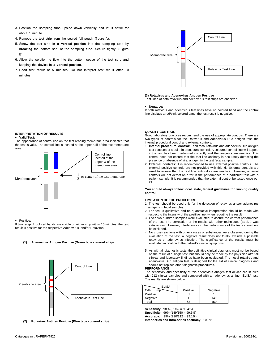- 3. Position the sampling tube upside down vertically and let it settle for about 1 minute.
- 4. Remove the test strip from the sealed foil pouch (figure A).
- 5. Screw the test strip **in a vertical position** into the sampling tube by **breaking** the bottom seal of the sampling tube. Secure tightly! (Figure B)
- 6. Allow the solution to flow into the bottom space of the test strip and keeping the device **in a vertical position**.
- 7. Read test result at 5 minutes. Do not interpret test result after 10 minutes.



#### **(3) Rotavirus and Adenovirus Antigen Positive**

Test lines of both rotavirus and adenovirus test strips are observed.

#### • **Negative:**

If both rotavirus and adenovirus test lines have no colored band and the control line displays a red/pink colored band, the test result is negative.

#### **INTERPRETATION OF RESULTS**

#### • **Valid Test:**

The appearance of control line on the test reading membrane area indicates that the test is valid. The control line is located at the upper half of the test membrane area.



Positive:

If two red/pink colored bands are visible on either strip within 10 minutes, the test result is positive for the respective Adenovirus and/or Rotavirus.

If colored bands are visible on either strip with  $\mathcal{L}_{\mathcal{A}}$ 

#### **(1) Adenovirus Antigen Positive (Green tape covered strip)**



**(2) Rotavirus Antigen Positive (Blue tape covered strip)**

#### **QUALITY CONTROL**

Good laboratory practices recommend the use of appropriate controls. There are two types of controls for the Rotavirus and Adenovirus Duo antigen test, the internal procedural control and external controls.

- 1. **Internal procedural control:** Each fecal rotavirus and adenovirus Duo antigen test contains of a built- in procedural control. A coloured control line will appear if the test has been performed correctly and the reagents are reactive. This control does not ensure that the test line antibody is accurately detecting the presence or absence of viral antigen in the test fecal sample.
- 2. **External controls:** It is recommended to use external positive controls. The external positive controls are not provided with this kit. External controls are used to assure that the test line antibodies are reactive. However, external controls will not detect an error in the performance of a particular test with a patient sample. It is recommended that the external control be tested once per kit.

**You should always follow local, state, federal guidelines for running quality control.**

#### **LIMITATION OF THE PROCEDURE**

- 1. The test should be used only for the detection of rotavirus and/or adenovirus antigens in fecal samples.
- 2. The test is qualitative and no quantitative interpretation should be made with respect to the intensity of the positive line, when reporting the result
- 3. Over two hundred samples were evaluated to assure the correct performance of the test. The correlation of the results with other techniques (ELISA) was satisfactory. However, interferences in the performance of the tests should not be excluded.
- 4. No cross-reactions with other viruses or substances were observed during the evaluation of the test. A negative result does not totally exclude a possible rotavirus or adenovirus infection. The significance of the results must be evaluated in relation to the patient's clinical symptoms.
- 5. As with all diagnostic tests, the definitive clinical diagnosis must not be based on the result of a single test, but should only be made by the physician after all clinical and laboratory findings have been evaluated. The fecal rotavirus and adenovirus Duo antigen test is designed for the aid of clinical diagnosis and should not replace other diagnostic procedures.

#### **PERFORMANCE**

The sensitivity and specificity of this adenovirus antigen test device are studied with 212 clinical samples and compared with an adenovirus antigen ELISA test. The results are shown below.

| <b>ELISA</b> |          |          |
|--------------|----------|----------|
| CARE Strip   | Positive | Negative |
| Positive     | 61       |          |
| Negative     |          | 149      |
| Total        | 62       | I 50     |

**Sensitivity:** 98% (61/62 = 98.4%) **Specificity:** 99% (149/150 = 99.3%) **Accuracy:** 99% (210/212 = 99.1%) **Inter-series and intra-series accuracy:** 100 %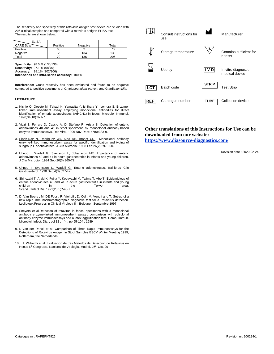The sensitivity and specificity of this rotavirus antigen test device are studied with 206 clinical samples and compared with a rotavirus antigen ELISA test. The results are shown below.

| <b>ELISA</b> |          |          |       |
|--------------|----------|----------|-------|
| CARE Strip   | Positive | Negative | Total |
| Positive     | 68       |          |       |
| Negative     |          | 134      | 136   |
| Total        |          | 136      | 206   |

**Specificity:** 98.5 % (134/136) **Sensitivity:** 97.1 % (68/70) **Accuracy:** 98.1% (202/206) **Inter-series and intra-series accuracy:** 100 %

**Interference:** Cross reactivity has been evaluated and found to be negative compared to positive specimens of *Cryptosporidium parvum* and Giardia *lumblia*.

#### **LITERATURE**

- 1. [Nishio O,](http://www.ncbi.nlm.nih.gov/entrez/query.fcgi?db=pubmed&cmd=Search&term=%22Nishio+O%22%5BAuthor%5D) [Ooseto M,](http://www.ncbi.nlm.nih.gov/entrez/query.fcgi?db=pubmed&cmd=Search&term=%22Ooseto+M%22%5BAuthor%5D) [Takagi K,](http://www.ncbi.nlm.nih.gov/entrez/query.fcgi?db=pubmed&cmd=Search&term=%22Takagi+K%22%5BAuthor%5D) [Yamasita Y,](http://www.ncbi.nlm.nih.gov/entrez/query.fcgi?db=pubmed&cmd=Search&term=%22Yamasita+Y%22%5BAuthor%5D) [Ishihara Y,](http://www.ncbi.nlm.nih.gov/entrez/query.fcgi?db=pubmed&cmd=Search&term=%22Ishihara+Y%22%5BAuthor%5D) [Isomura S.](http://www.ncbi.nlm.nih.gov/entrez/query.fcgi?db=pubmed&cmd=Search&term=%22Isomura+S%22%5BAuthor%5D) Enzymelinked immunosorbent assay employing monoclonal antibodies for direct identification of enteric adenoviruses (Ad40,41) in feces. Microbiol Immunol. 1990;34(10):871-7.
- 2. [Vizzi E, Ferraro D, Cascio A, Di Stefano R, Arista S.](http://www.ncbi.nlm.nih.gov/entrez/query.fcgi?cmd=Retrieve&db=pubmed&dopt=Abstract&list_uids=8958586&query_hl=4) Detection of enteric adenoviruses 40 and 41 in stool specimens by monoclonal antibody-based enzyme immunoassays. Res Virol. 1996 Nov-Dec;147(6):333-9.
- 3. [Singh-Naz N, Rodriguez WJ, Kidd AH, Brandt CD.](http://www.ncbi.nlm.nih.gov/entrez/query.fcgi?cmd=Retrieve&db=pubmed&dopt=Abstract&list_uids=3343324&query_hl=4) Monoclonal antibody enzyme-linked immunosorbent assay for specific identification and typing of subgroup F adenoviruses. J Clin Microbiol. 1988 Feb;26(2):297-300.
- 4. [Uhnoo I,](http://www.ncbi.nlm.nih.gov/entrez/query.fcgi?db=pubmed&cmd=Search&term=%22Uhnoo+I%22%5BAuthor%5D) [Wadell G,](http://www.ncbi.nlm.nih.gov/entrez/query.fcgi?db=pubmed&cmd=Search&term=%22Wadell+G%22%5BAuthor%5D) [Svensson L,](http://www.ncbi.nlm.nih.gov/entrez/query.fcgi?db=pubmed&cmd=Search&term=%22Svensson+L%22%5BAuthor%5D) [Johansson ME.](http://www.ncbi.nlm.nih.gov/entrez/query.fcgi?db=pubmed&cmd=Search&term=%22Johansson+ME%22%5BAuthor%5D) Importance of enteric adenoviruses 40 and 41 in acute gastroenteritis in infants and young children. J Clin Microbiol. 1984 Sep;20(3):365-72.
- 5. [Uhnoo I, Svensson L, Wadell G.](http://www.ncbi.nlm.nih.gov/entrez/query.fcgi?cmd=Retrieve&db=pubmed&dopt=Abstract&list_uids=1962727&query_hl=4) Enteric adenoviruses. Baillieres Clin Gastroenterol. 1990 Sep;4(3):627-42.
- 6. [Shinozaki T, Araki K, Fujita Y, Kobayashi M, Tajima T, Abe T.](http://www.ncbi.nlm.nih.gov/entrez/query.fcgi?cmd=Retrieve&db=pubmed&dopt=Abstract&list_uids=1662830&query_hl=4) Epidemiology of enteric adenoviruses 40 and 41 in acute gastroenteritis in infants and young children in the Tokyo area. Scand J Infect Dis. 1991;23(5):543-7.
- 7. D. Van Beers , M. DE Foor , R. Viehoff , D. Col , M. Venuti and T. Set-up of a new rapid immunochromatographic diagnostic test for a Rotavirus detection. Leclipteux.Progress in Clinical Virology III , Bologne , Septembre 1997.
- 8. Sneyers et al.Detection of rotavirus in faecal specimens with a monoclonal antibody enzyme-linked immunosorbent assay : comparison with polyclonal antibody enzyme-immunoessays and a latex agglutination test. Comp. Immun. Microbiol. Infect. Dis. , vol 12 , n°4 , pp 95-104 , 1989
- 9. I. Van der Donck et al. Comparison of Three Rapid Immunoassays for the Detectiono of Rotavirus Antigen in Stool Samples ESCV Winter Meeting 1999, Rotterdam, the Netherlands
- 10. I. Wilhelmi et al. Evaluacion de tres Metodos de Deteccion de Rotavirus en Heces 6<sup>th</sup> Congresso Nacional de Virologia, Madrid, 26<sup>th</sup> Oct. 99



### **Other translations of this Instructions for Use can be downloaded from our website:**

**<https://www.diasource-diagnostics.com/>**

Revision date : 2020-02-24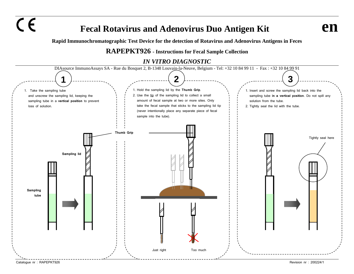$C \in$ 

## **Fecal Rotavirus and Adenovirus Duo Antigen Kit end**

**Rapid Immunochromatographic Test Device for the detection of Rotavirus and Adenovirus Antigens in Feces** 

## **RAPEPKT926 - Instructions for Fecal Sample Collection**

## *IN VITRO DIAGNOSTIC*

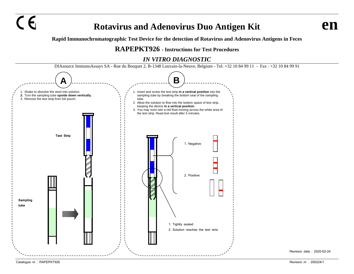# $\overline{C}$  **Figure 2.1 Rotavirus and Adenovirus Duo Antigen Kit**

**Rapid Immunochromatographic Test Device for the detection of Rotavirus and Adenovirus Antigens in Feces**

## **RAPEPKT926 - Instructions for Test Procedures**

## *IN VITRO DIAGNOSTIC*



Revision date : 2020-02-24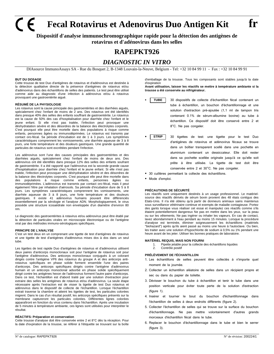**Fecal Rotavirus et Adenovirus Duo Antigen Kit fr**

**Dispositif d'analyse immunochromographique rapide pour la détection des antigènes de rotavirus et d'adénovirus dans les selles**

## **RAPEPKT926**

## *DIAGNOSTIC IN VITRO*

DIAsource ImmunoAssays SA - Rue du Bosquet 2, B-1348 Louvain-la-Neuve, Belgium - Tel: +32 10 84 99 11 - Fax : +32 10 84 99 91

#### **BUT DU DOSAGE**

Cette trousse de test Duo d'antigènes de rotavirus et d'adénovirus est destinée à la détection qualitative directe de la présence d'antigènes de rotavirus et/ou d'adénovirus dans des échantillons de selles des patients. Le test peut être utilisé comme aide au diagnostic d'une infection à adénovirus et/ou à rotavirus provoquant une gastroentérite aiguë.

#### **RÉSUMÉ DE LA PHYSIOLOGIE**

Les rotavirus sont la cause principale des gastroentérites et des diarrhées aiguës, spécialement chez l'enfant de moins de 2 ans. Des rotavirus ont été identifiés dans presque 40% des selles des enfants souffrant de gastroentérite. Le rotavirus est la cause de 50% des cas d'hospitalisation pour diarrhée chez l'enfant et le jeune enfant. Si elle n'est pas traitée, l'infection peut provoquer une déshydratation sévère et des désordres de la balance des électrolytes corporels. C'est pourquoi elle peut être mortelle dans des populations à risque comme enfants, personnes âgées ou immunodéprimées. Le rotavirus est transmis par contact oro-fécal. Sa période d'incubation est de 1 à 3 jours. Les symptômes caractéristiques comprennent les vomissements, une diarrhée aqueuse de 3 à 8 jours, une forte température et des douleurs gastriques. Une grande quantité de particules de rotavirus sont excrétées pendant l'infection.

Les adénovirus sont l'une des causes principales des gastroentérites et des diarrhées aiguës, spécialement chez l'enfant de moins de deux ans. Des adénovirus ont été identifiés dans presque 12% des selles des enfants soufrant de gastroentérite. Il a été rapporté que l'adénovirus est la seconde grande cause d'hospitalisation pour diarrhée chez l'enfant et le jeune enfant. Si elle n'est pas traitée, l'infection peut provoquer une déshydratation sévère et des désordres de la balance des électrolytes corporels. C'est pourquoi elle peut être mortelle dans des populations à risque comme enfants, personnes âgées ou immunodéprimées. L'adénovirus est transmis par contact oro-fécal, mais il peut également l'être par inhalation d'aérosols. Sa période d'incubation dure de 5 à 8 jours. Les symptômes caractéristiques comprennent les vomissements, une diarrhée aqueuse de 3 à 8 jours, une forte température et des douleurs gastriques. Il existe 41 adénovirus humains pouvant être différenciés essentiellement par la sérologie et l'analyse ADN. Morphologiquement, le virus possède une structure icosaédrale non enveloppée d'un diamètre d'environ 80 nm.

Le diagnostic des gastroentérites à rotavirus et/ou adénovirus peut être établi par la détection de particules virales en microscopie électronique ou de l'antigène viral par des méthodes immuno-sérologiques spécifiques.

#### **PRINCIPE DE L'ANALYSE**

C'est un test deux en un comprenant une tigette de test d'antigènes de rotavirus et une tigette de test d'antigènes d'adénovirus mises dos à dos dans un seul tube.

Les tigettes de test rapide Duo d'antigènes de rotavirus et d'adénovirus utilisent deux paires d'anticorps monoclonaux soit pour l'antigène de rotavirus soit pour l'antigène d'adénovirus. Des anticorps monoclonaux conjugués à un colorant dirigés contre l'antigène VP6 des rotavirus du groupe A et des anticorps antirotavirus spécifiques en phase solide forment ensemble l'une des paires d'anticorps. Des anticorps spécifiques dirigés contre l'antigène d'adénovirus humain et un anticorps monoclonal adsorbé en phase solide spécifiquement dirigé contre les antigènes hexon de l'adénovirus forment l'autre paire d'anticorps. Dans ce test, l'échantillon est d'abord traité par une solution d'extraction pour extraire des selles les antigènes de rotavirus et/ou d'adénovirus. La seule étape nécessaire après l'extraction est de visser la tigette de test Duo rotavirus et adénovirus dans le dispositif de collecte de l'échantillon. Lorsque l'échantillon extrait traverse la chambre et atteint les tigettes de test, les particules colorées migrent. Dans le cas d'un résultat positif, les anticorps spécifiques présents sur la membrane captureront les particules colorées. Différentes lignes colorées apparaîtront en fonction du virus contenu dans l'échantillon. Après une incubation de 5 minutes à température ambiante, ces lignes sont utilisées pour interpréter le résultat.

#### **RÉACTIFS: Préparation et conservation**

Cette trousse d'analyse doit être conservée entre 2 et 8°C dès la réception. Pour la date d'expiration de la trousse, se référer à l'étiquette se trouvant sur la boîte d'emballage de la trousse. Tous les composants sont stables jusqu'à la date d'expiration

**Avant utilisation, laisser les réactifs se mettre à température ambiante si la trousse a été conservée au réfrigérateur.**

- 30 dispositifs de collecte d'échantillon fécal contenant un tube à échantillon, un bouchon d'échantillonnage et une solution d'extraction pré-ajoutée (1,1 ml de tampon tris contenant 0.1% de sérum-albumine bovine) au tube à échantillon. Ce dispositif doit être conservé entre 2 et 8°C. Ne pas congeler. **TUBE**
- 30 tigettes de test: une tigette pour le test Duo d'antigènes de rotavirus et adénovirus fécaux se trouve dans un boîtier transparent scellé dans une pochette en aluminium contenant un dessiccateur. Elle doit rester dans sa pochette scellée originale jusqu'à ce qu'elle soit prête à être utilisée. La tigette de test doit être conservée entre 2 et 30°C. Ne pas congeler. **STRIP**
- 30 cuillères permettant la collecte des échantillons.
- Mode d'emploi.

#### **PRÉCAUTIONS DE SÉCURITÉ**

Les réactifs sont uniquement destinés à un usage professionnel. Le matérielsource des réactifs dérivés de sérum bovin provient des 48 états contigus des Etats-Unis. Il n'a été obtenu qu'à partir de donneurs animaux sains maintenus sous surveillance vétérinaire continue et exempts de maladie contagieuse. Portez des gants lorsque vous réaliser cet essai et manipulez ces réactifs comme s'ils étaient potentiellement dangereux Ne pas en mettre dans les yeux, sur la peau ou sur les vêtements. Ne pas ingérer ou inhaler les vapeurs. En cas de contact, lavez abondamment à l'eau pendant au moins 15 minutes. Lorsque la procédure d'analyse est terminée, éliminer soigneusement les échantillons (matériels "biohazard") après qu'ils aient passé au moins une heure à l'autoclave. Ou bien, les traiter avec une solution d'hypochlorite de sodium à 0,5% ou 1% pendant une heure avant de les jeter. Utiliser les bonnes pratiques de laboratoire.

#### **MATÉRIEL REQUIS, MAIS NON FOURNI**

- 1. Pipette jetable pour la collecte des échantillons liquides<br>2. Contrôle positif
- Contrôle positif

#### **PRÉLÈVEMENT DE l'ÉCHANTILLON**

- 1. Les échantillons de selles peuvent être collectés à n'importe quel moment de la journée.
- 2. Collecter un échantillon aléatoire de selles dans un récipient propre et sec ou dans du papier de toilette.
- 3. Dévisser le bouchon du tube à échantillon et tenir le tube dans une position verticale pour éviter toute perte de la solution d'extraction (figure 1).
- 4. Insérer et tourner le bout du bouchon d'échantillonnage dans l'échantillon de selles à deux endroits différents (figure 2).
- 5. Collecter l'échantillon de selles qui se trouve sur la surface du bouchon d'échantillonnage. Ne pas mettre volontairement d'autres grands morceaux d'échantillon fécal dans le tube.
- 6. Replacer le bouchon d'échantillonnage dans le tube et bien le serrer (figure 3).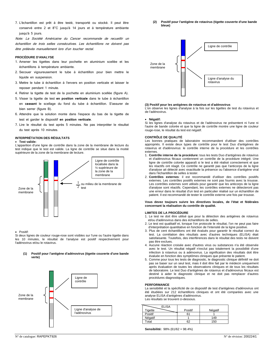7. L'échantillon est prêt à être testé, transporté ou stocké. Il peut être conservé entre 2 et 8°C jusqu'à 14 jours et à température ambiante jusqu'à 5 jours.

Note: La Société Américaine du Cancer recommande de recueillir un échantillon de trois selles consécutives. Les échantillons ne doivent pas être prélevés manuellement lors d'un toucher rectal.

#### **PROCÉDURE D'ANALYSE**

- 1. Amener les tigettes dans leur pochette en aluminium scellée et les échantillons à température ambiante.
- 2. Secouer vigoureusement le tube à échantillon pour bien mettre le liquide en suspension.
- 3. Mettre le tube à échantillon à l'envers en position verticale et laisser le reposer pendant 1 minute.
- 4. Retirer la tigette de test de la pochette en aluminium scellée (figure A).
- 5. Visser la tigette de test **en position verticale** dans le tube à échantillon en **cassant** le scellage du fond du tube à échantillon. S'assurer de bien serrer (figure B).
- 6. Attendre que la solution monte dans l'espace du bas de la tigette de test et garder le dispositif **en position verticale**.
- 7. Lire le résultat du test après 5 minutes. Ne pas interpréter le résultat du test après 10 minutes.

#### **INTERPRÉTATION DES RÉSULTATS**

• **Test valide:**

L'apparition d'une ligne de contrôle dans la zone de la membrane de lecture du test indique que le test est valide. La ligne de contrôle se situe dans la moitié supérieure de la zone de la membrane de lecture.



#### • Positif:

Si deux lignes de couleur rouge-rose sont visibles sur l'une ou l'autre tigette dans les 10 minutes, le résultat de l'analyse est positif respectivement pour l'adénovirus et/ou le rotavirus.

#### **(1) Positif pour l'antigène d'adénovirus (tigette couverte d'une bande verte)**



**(2) Positif pour l'antigène de rotavirus (tigette couverte d'une bande bleue)**



#### **(3) Positif pour les antigènes de rotavirus et d'adénovirus**

L'on observe les lignes d'analyse à la fois sur les tigettes de test du rotavirus et de l'adénovirus.

#### • **Négatif:**

Si les lignes d'analyse du rotavirus et de l'adénovirus ne présentent ni l'une ni l'autre de bande colorée et que la ligne de contrôle montre une ligne de couleur rouge-rose, le résultat du test est négatif.

#### **CONTRÔLE DE QUALITÉ**

Les bonnes pratiques de laboratoire recommandent d'utiliser des contrôles appropriés. Il existe deux types de contrôle pour le test Duo d'antigènes de rotavirus et d'adénovirus: le contrôle interne de la procédure et les contrôles externes

- 1. **Contrôle interne de la procédure:** tous les tests Duo d'antigènes de rotavirus et d'adénovirus fécaux contiennent un contrôle de la procédure intégré. Une ligne de contrôle colorée apparaît si le test a été réalisé correctement et que les réactifs ont réagit. Ce contrôle ne garantit pas que l'anticorps de la ligne d'analyse ait détecté avec exactitude la présence ou l'absence d'antigène viral dans l'échantillon de selles à tester.
- 2. **Contrôles externes**: il est recommandé d'utiliser des contrôles positifs externes. Les contrôles positifs externes ne sont pas fournis avec la trousse. Les contrôles externes sont utilisés pour garantir que les anticorps de la ligne d'analyse sont réactifs. Cependant, les contrôles externes ne détecteront pas une erreur dans le résultat d'un test en particulier réalisé sur un échantillon de patient. Il est recommandé de tester le contrôle externe une fois par trousse.

#### **Vous devez toujours suivre les directives locales, de l'état et fédérales concernant la réalisation du contrôle de qualité.**

#### **LIMITES DE LA PROCÉDURE**

- 1. Le test ne doit être utilisé que pour la détection des antigènes de rotavirus et/ou d'adénovirus dans des échantillons de selles.
- 2. Le test est qualitatif et, lorsque l'on protocole le résultat, l'on ne peut pas faire d'interprétation quantitative en fonction de l'intensité de la ligne positive.
- 3. Plus de cent échantillons ont été évalués pour garantir le résultat correct du test. La corrélation des résultats avec d'autres techniques (ELISA) était satisfaisante. Toutefois, des interférences dans le résultat des tests ne doivent pas être exclues.
- 4. Aucune réaction croisée avec d'autres virus ou substances n'a été observée avec le test. Un résultat négatif n'exclut pas totalement la possibilité d'une infection à rotavirus ou à adénovirus. La signification des résultats doit être évaluée en fonction des symptômes cliniques que présente le patient.
- 5. Comme pour tous les tests de diagnostic, le diagnostic clinique définitif ne doit pas se baser sur un seul test, mais il doit être fait par le médecin uniquement après évaluation de toutes les observations cliniques et de tous les résultats de laboratoire. Le test Duo d'antigènes de rotavirus et d'adénovirus fécaux est destiné à aider le diagnostic clinique et ne doit pas remplacer d'autres procédures diagnostiques.

#### **PERFORMANCE**

La sensibilité et la spécificité de ce dispositif de test d'antigènes d'adénovirus ont été étudiées sur 212 échantillons cliniques et ont été comparées avec une analyse ELISA d'antigènes d'adénovirus. Les résultats se trouvent ci-dessous.

| ELISA   |         |         |
|---------|---------|---------|
| Tigette | Positif | Négatif |
| Positif | 61      |         |
| Négatif |         | 149     |
| Total   | 62      | 150     |

**Sensibilité:** 98% (61/62 = 98.4%)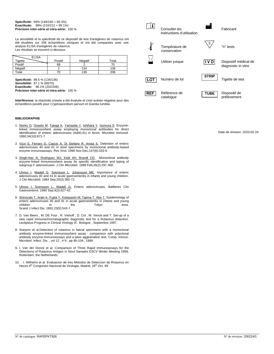#### **Spécificité:** 99% (149/150 = 99.3%) **Exactitude:** 99% (210/212 = 99.1%) **Précision inter-série et intra-série:** 100 %

La sensibilité et la spécificité de ce dispositif de test d'antigènes de rotavirus ont été étudiées sur 206 échantillons cliniques et ont été comparées avec une analyse ELISA d'antigènes de rotavirus. Les résultats se trouvent ci-dessous.

| <b>ELISA</b> |         |         |       |
|--------------|---------|---------|-------|
| Tigette      | Positif | Négatif | Total |
| Positif      | 68      |         |       |
| Négatif      |         | 134     | 136   |
| Total        | 70      | 136     | 206   |

**Spécificité:** 98.5 % (134/136) **Sensibilité:** 97.1 % (68/70) **Exactitude:** 98.1% (202/206) **Précision inter-série et intra-série:** 100 %

**Interférence:** la réactivité croisée a été évaluée et s'est avérée négative pour des échantillons positifs pour *Cryptosporidium parvum* et Giardia *lumblia*.

#### **BIBLIOGRAPHIE**

- 1. [Nishio O,](http://www.ncbi.nlm.nih.gov/entrez/query.fcgi?db=pubmed&cmd=Search&term=%22Nishio+O%22%5BAuthor%5D) [Ooseto M,](http://www.ncbi.nlm.nih.gov/entrez/query.fcgi?db=pubmed&cmd=Search&term=%22Ooseto+M%22%5BAuthor%5D) [Takagi K,](http://www.ncbi.nlm.nih.gov/entrez/query.fcgi?db=pubmed&cmd=Search&term=%22Takagi+K%22%5BAuthor%5D) [Yamasita Y,](http://www.ncbi.nlm.nih.gov/entrez/query.fcgi?db=pubmed&cmd=Search&term=%22Yamasita+Y%22%5BAuthor%5D) [Ishihara Y,](http://www.ncbi.nlm.nih.gov/entrez/query.fcgi?db=pubmed&cmd=Search&term=%22Ishihara+Y%22%5BAuthor%5D) [Isomura S.](http://www.ncbi.nlm.nih.gov/entrez/query.fcgi?db=pubmed&cmd=Search&term=%22Isomura+S%22%5BAuthor%5D) Enzymelinked immunosorbent assay employing monoclonal antibodies for direct identification of enteric adenoviruses (Ad40,41) in feces. Microbiol Immunol. 1990;34(10):871-7.
- 2. [Vizzi E, Ferraro D, Cascio A, Di Stefano R, Arista S.](http://www.ncbi.nlm.nih.gov/entrez/query.fcgi?cmd=Retrieve&db=pubmed&dopt=Abstract&list_uids=8958586&query_hl=4) Detection of enteric adenoviruses 40 and 41 in stool specimens by monoclonal antibody-based enzyme immunoassays. Res Virol. 1996 Nov-Dec;147(6):333-9.
- 3. [Singh-Naz N, Rodriguez WJ, Kidd AH, Brandt CD.](http://www.ncbi.nlm.nih.gov/entrez/query.fcgi?cmd=Retrieve&db=pubmed&dopt=Abstract&list_uids=3343324&query_hl=4) Monoclonal antibody enzyme-linked immunosorbent assay for specific identification and typing of subgroup F adenoviruses. J Clin Microbiol. 1988 Feb;26(2):297-300.
- 4. [Uhnoo I,](http://www.ncbi.nlm.nih.gov/entrez/query.fcgi?db=pubmed&cmd=Search&term=%22Uhnoo+I%22%5BAuthor%5D) [Wadell G,](http://www.ncbi.nlm.nih.gov/entrez/query.fcgi?db=pubmed&cmd=Search&term=%22Wadell+G%22%5BAuthor%5D) [Svensson L,](http://www.ncbi.nlm.nih.gov/entrez/query.fcgi?db=pubmed&cmd=Search&term=%22Svensson+L%22%5BAuthor%5D) [Johansson ME.](http://www.ncbi.nlm.nih.gov/entrez/query.fcgi?db=pubmed&cmd=Search&term=%22Johansson+ME%22%5BAuthor%5D) Importance of enteric adenoviruses 40 and 41 in acute gastroenteritis in infants and young children. J Clin Microbiol. 1984 Sep;20(3):365-72.
- 5. [Uhnoo I, Svensson L, Wadell G.](http://www.ncbi.nlm.nih.gov/entrez/query.fcgi?cmd=Retrieve&db=pubmed&dopt=Abstract&list_uids=1962727&query_hl=4) Enteric adenoviruses. Baillieres Clin Gastroenterol. 1990 Sep;4(3):627-42.
- 6. [Shinozaki T, Araki K, Fujita Y, Kobayashi M, Tajima T, Abe T.](http://www.ncbi.nlm.nih.gov/entrez/query.fcgi?cmd=Retrieve&db=pubmed&dopt=Abstract&list_uids=1662830&query_hl=4) Epidemiology of enteric adenoviruses 40 and 41 in acute gastroenteritis in infants and young children in the Tokyo area. Scand J Infect Dis. 1991;23(5):543-7.
- 7. D. Van Beers , M. DE Foor , R. Viehoff , D. Col , M. Venuti and T. Set-up of a new rapid immunochromatographic diagnostic test for a Rotavirus detection. Leclipteux.Progress in Clinical Virology III , Bologne , Septembre 1997.
- 8. Sneyers et al.Detection of rotavirus in faecal specimens with a monoclonal antibody enzyme-linked immunosorbent assay : comparison with polyclonal antibody enzyme-immunoessays and a latex agglutination test. Comp. Immun. Microbiol. Infect. Dis. , vol 12 , n°4 , pp 95-104 , 1989
- 9. I. Van der Donck et al. Comparison of Three Rapid Immunoassays for the Detectiono of Rotavirus Antigen in Stool Samples ESCV Winter Meeting 1999, Rotterdam, the Netherlands
- 10. I. Wilhelmi et al. Evaluacion de tres Metodos de Deteccion de Rotavirus en Heces 6<sup>th</sup> Congresso Nacional de Virologia, Madrid, 26<sup>th</sup> Oct. 99



Date de révision: 2020-02-24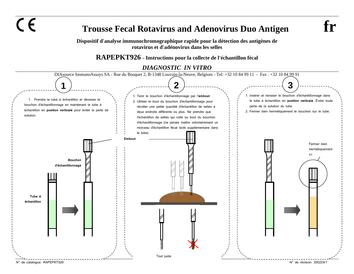$\epsilon$ 

## **Trousse Fecal Rotavirus and Adenovirus Duo Antigen fr**

**Dispositif d'analyse immunochromographique rapide pour la détection des antigènes de rotavirus et d'adénovirus dans les selles**

**RAPEPKT926 - Instructions pour la collecte de l'échantillon fécal**

*DIAGNOSTIC IN VITRO* 

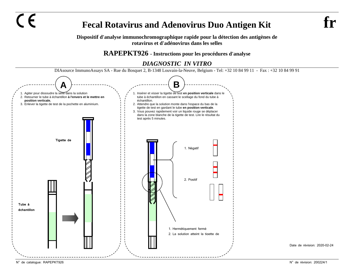**Fecal Rotavirus and Adenovirus Duo Antigen Kit** 

**Dispositif d'analyse immunochromographique rapide pour la détection des antigènes de rotavirus et d'adénovirus dans les selles**

## **RAPEPKT926 - Instructions pour les procédures d'analyse**

## *DIAGNOSTIC IN VITRO*



 $\epsilon$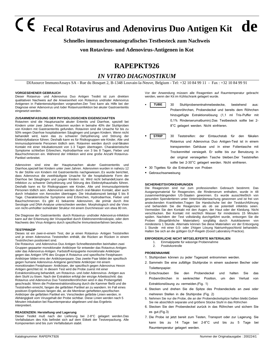# **Fecal Rotavirus and Adenovirus Duo Antigen Kit de**

**Schnelles immunchromatografisches Testbesteck zum Nachweis** 

### **von Rotavirus- und Adenovirus-Antigenen in Kot**

## **RAPEPKT926**

## *IN VITRO DIAGNOSTIKUM*

DIAsource ImmunoAssays SA - Rue du Bosquet 2, B-1348 Louvain-la-Neuve, Belgium - Tel: +32 10 84 99 11 - Fax : +32 10 84 99 91

#### **VORGESEHENER GEBRAUCH**

Dieser Rotavirus- und Adenovirus Duo Antigen Testkit ist zum direkten qualitativen Nachweis auf die Anwesenheit von Rotavirus und/oder Adenovirus Antigenen in Patientenstuhlproben vorgesehen.Der Test kann als Hilfe bei der Diagnose einer Adenovirus und /oder Rotavirusinfektion bei akuter Gastroenteritis eingesetzt werden.

#### **ZUSAMMENFASSUNG DER PHYSIOLOGISCHEN EIGENSCHAFTEN**

Rotaviren sind die Hauptursache akuter Enteritis und Diarrhoe, speziell bei Kindern unter zwei Jahren. Rotaviren wurden in beinahe 40% der Stuhlproben von Kindern mit Gastroenteritis gefunden. Rotaviren sind die Ursache für bis zu 50% wegen Diarrhoe hospitalisierten Säuglingen und jungen Kindern. Wenn nicht behandelt wird, kann das zu schwerer Dehydrierung und Störung der Elektrolytbalance führen. Deshalb kann es für Risikogruppen wie Kinder, Alte und Immunsubprimierte Personen tödlich sein. Rotaviren werden durch oral-fäkalen Kontakt mit einer Inkubationszeit von 1-3 Tagen übertragen. Charakteristische Symptome schließen Erbrechen, Hydrodiarrhoe von 3 bis 8 Tagen, Fieber und Bauchschmerzen ein. Während der Infektion wird eine große Anzahl Rotavirus-Partikel verbreitet.

Adenoviren sind eine der Hauptursachen akuter Gastroenteritis und Diarrhoe,speziell bei Kindern unter zwei Jahren. Adenoviren wurden in nahezu 12 % der Stühle von Kindern mit Gastroenteritis nachgewiesen..Es wurde berichtet, dass Adenovirus die zweithäufigste Ursache für die hospitalisierte Form der Diarrhoe bei Säuglingen und jungen Kindern ist. Wird nicht behandelt,kann die Infektion zu schwerer Dehydrierung und Störung des Elektrolythaushalts führen. Deshalb kann es für Risikogruppen wie Kinder, Alte und Immunsubprimierte Personen tödlich sein. Adenoviren werden durch oral-fäkalen Kontakt, aber auch durch Inhalation von Aerosolen übertragen. Die Inkubationszeit beträgt 5 bis 8 Tage. Charakteristische Symptome sind Erbrechen, Hydrodiarrhoe, Fieber und Bauchschmerzen. Es gibt 41 bekannte Adenoviren, die primär durch ihre Serologie und DNA-Analyse unterschieden werden. Morphologisch sind die Viren von nicht-umhüllter isohedraler Struktur mit einem Durchmesser von etwa 80 nm.

Die Diagnose der Gastroenteritis durch Rotavirus- und/oder Adenovirus-Infektion kann auf der Erkennung der Viruspartikel durch Elektronenmikroskopie, oder dem Nachweis des Virus-Antigens durch spezifische Immuntestverfahren beruhen.

#### **TESTPRINZIP**

Dieses ist ein zwei-in-einem Test, der je einen Rotavirus- Antigen Teststreifen und je einen Adenovirus Teststreifen enthält, die Rücken an Rücken in einem Teströhrchen positioniert sind.

Die Rotavirus und Adenovirus Duo Antigen Schnellteststreifen beinhalten zwei Gruppen gepaarter monoklonaler Antikörper für entweder das Rotavirus-Antigen oder das Adenovirus-Antigen. Farbstoff-konjugierte monoklonale Antikörper gegen das Antigen VP6 des Gruppe A Rotavirus und spezifische Festphasen-Antikörper bilden eins der Antikörperpaare. Das zweite Paar bildet der spezifisch gegen humane Adenovirus-Antigene gerichtete Antikörper mit einem monoklonalen Festphasen- Antikörper, der spezifisch gegen Adenovirus Hexon Antigen gerichtet ist. In diesem Test wird die Probe zuerst mit einer Extraktionslösung behandelt, um Rotavirus- und /oder Adenovirus- Antigen aus dem Stuhl zu lösen. Nach der Extraktion erfolgt der einzige Arbeitsschritt: das Rotavirus und Adenovirus Duo Teststreifenröhrchen wird in das Probengefäß geschraubt. Wenn die Probenextraktionslösung durch die Kammer fließt und die Teststreifen erreicht, fangen die gefärbten Partikel an zu wandern. Im Fall eines positiven Ergebnisses fangen die, an die Membran gehefteten,spezifischen Antikörper die gefärbten Partikel ein. Verschieden gefärbte Linien werden, in Abhängigkeit vom Virusgehalt der Probe sichtbar. Diese Linien werden nach 5 Minuten Inkubation bei Raumtemperatur abgelesen und das Ergebnis interpretiert.

#### **REAGENZIEN: Herstellung und Lagerung**

Dieser Testkit muß nach der Lieferung bei 2-8°C gelagert werden.Das Verfallsdatum des Kits befindet sich auf dem Etikett der Testverpackung. Alle Komponenten sind bis zum Verfallsdatum stabil.

Vor der Anwendung müssen alle Reagentien auf Raumtemperatur gebracht werden, wenn der Kit im Kühlschrank gelagert wurde.

- 30 Stuhlprobenentnahmebestecke, bestehend aus: Probenröhrchen, Probendeckel und bereits dem Röhrchen hinzugefügte Extraktionslösung (1,1 ml Tris-Puffer mit 0,1% Rinderserumalbumin).Das Testbesteck sollte bei 2- 8°C gelagert werden. Nicht einfrieren. **TUBE**
- 30 Teststreifen: der Eintauchstab für den fäkalen Rotavirus und Adenovirus Duo Antigen-Test ist in einem transparenten Gehäuse und in einer Folientasche mit Trockenmittel versiegelt. Er sollte bis zur Benutzung in der original versiegelten Tasche bleiben.Der Teststreifen sollte bei 2-30°C gelagert werden. Nicht einfrieren. **STRIP**
- **B** 30 Tigettes für die Entnahme von Proben
- Gebrauchsanweisung

#### **SICHERHEITSVORKEHRUNGEN**

Die Reagenzien sind nur zum professionellen Gebrauch bestimmt. Das Ausgangsmaterial für Reagenzien, die Rinderserum enthalten, wurde in 48 zusammenhängenden US-Staaten gewonnen. Es wurde ausschließlich von gesunden Spendertieren unter Veterinärüberwachung gewonnen und ist frei von ansteckenden Krankheiten.Tragen Sie Handschuhe bei der Testdurchführung und behandeln Sie die Reagenzien als ob sie potentiell infektiös seien. Vermeiden Sie den Kontakt mit den Augen, der Haut oder der Kleidung. Nicht verschlucken. Bei Kontakt mit reichlich Wasser für mindestens 15 Minuten spülen. Nachdem der Test vollständig durchgeführt wurde, entsorgen Sie die Proben (Biogefährliche Materialien) sorgfältig durch Autoklavieren von mindestens 1 Stunde. Alternativ können Sie diese Materialien vor der Entsorgung 1 Stunde mit einer 0,5- oder 1%igen Lösung Natriumhypochlorid behandeln. Halten Sie sich an die gültigen GLP-Regeln (Good Laboratory Practice).

#### **ERFORDERLICHE NICHT MITGELIEFERTE MATERIALIEN**

- 1. Einmalpipette für wässrige Probennahme
- Positivkontrolle

#### **PROBENNAHME**

- 1. Stuhlproben können zu jeder Tageszeit entnommen werden.
- 2. Sammeln Sie eine zufällige Stuhlprobe in einem sauberen Becher oder Toilettenpapier.
- 3. Entschrauben Sie den Probendeckel und halten Sie das Probenröhrchen in senkrechter Position, um den Verlust von Extraktionslösung zu vermeiden.(Fig. 1)
- 4. Stecken und drehen Sie die Spitze des Probendeckels an zwei oder mehreren Stellen in die Stuhlprobe (Fig. 2)
- 5. Nehmen Sie nur die Probe, die an der Probendeckelspitze haften bleibt.Geben Sie nie absichtlich separate und größere Stücke Stuhl in das Röhrchen
- 6. Stecken Sie den Probendeckel zurück in das Röhrchen und sichern Sie es gut.(Fig.3)
- 7. Die Probe ist jetzt bereit zum Testen, Transport oder zur Lagerung. Sie kann bis zu 14 Tage bei 2-8°C und bis zu 5 Tage bei Raumtemperatur gelagert werden.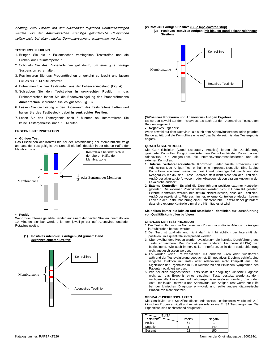Achtung: Zwei Proben von drei aufeinander folgenden Darmentleerungen werden von der Amerikanischen Krebsliga gefordert.Die Stuhlproben sollten nicht bei einer rektalen Darmuntersuchung entnommen werden.

#### **TESTDURCHFÜHRUNG**

- 1. Bringen Sie die in Folientaschen versiegelten Teststreifen und die Proben auf Raumtemperatur.
- 2. Schütteln Sie das Probenröhrchen gut durch, um eine gute flüssige Suspension zu erhalten.
- 3. Positionieren Sie das Probenröhrchen umgekehrt senkrecht und lassen Sie es für 1 Minute absitzen.
- 4. Entnehmen Sie den Teststreifen aus der Folienversiegelung (Fig. A)
- 5. Schrauben Sie den Teststreifen **in senkrechter Position** in das Probenröhrchen indem Sie die Bodenversiegelung des Probenröhrchens **durchbrechen**.Schrauben Sie es gut fest.(Fig. B)
- 6. Lassen Sie die Lösung in den Bodenraum des Teststreifens fließen und halten Sie das Testbesteck dabei **in senkrechter Position**.
- 7. Lesen Sie das Testergebnis nach 5 Minuten ab. Interpretieren Sie keine Testergebnisse nach 10 Minuten.

#### **ERGEBNISINTERPRETATION**

#### • **Gültiger Test:**

Das Erscheinen der Kontrolllinie bei der Testablesung der Membranzone zeigt an, dass der Test gültig ist.Die Kontrolllinie befindet sich in der oberen Hälfte der Membranzone.



#### • **Positiv**

Wenn zwei rot/rosa gefärbte Banden auf einem der beiden Streifen innerhalb von 10 Minuten sichtbar werden, ist der jeweiligeTest auf Adenovirus und/oder Rotavirus positiv.

#### **(1) Positives Adenovirus Antigen (Mit grünem Band gekennzeichneter Streifen)**



#### **(2) Rotavirus Antigen Positive (Blue tape covered strip) (2) Positives Rotavirus Antigen (mit blauem Band gekennzeichneter**

**Streifen)**



#### **(3)Positives Rotavirus- und Adenovirus- Antigen Ergebnis**

Es werden sowohl auf dem Rotavirus, als auch auf dem Adenovirus-Teststreifen Banden angezeigt.

#### • **Negatives Ergebnis:**

Wenn sowohl auf dem Rotavirus- als auch dem Adenovirusstreifen keine gefärbte Bande auftritt und die Kontrolllinie eine rot/rosa Bande zeigt, ist das Testergebnis negativ.

#### **QUALITÄTSKONTROLLE**

Die GLP-Richtlinien (Good Laboratory Practice) forden die Durchführung geeigneter Kontrollen. Es gibt zwei Arten von Kontrollen für den Rotavirus- und Adenovirus Duo Antigen-Test, die internen,verfahrensorientierten und die externen Kontrollen.

- **1. Interne verfahrensorientierte Kontrolle:** Jeder fäkale Rotavirus- und Adenovirus Duo Antigen-Test enthält eine Inprozess-Kontrolle. Eine farbige Kontrolllinie erscheint, wenn der Test korrekt durchgeführt wurde und die Reagenzien reaktiv sind. Diese Kontrolle stellt nicht sicher,ob der Testlinien-Antikörper akkurat die Anwesen- oder Abwesenheit von viralem Antigen in der Fäkalprobe endeckt.
- **2. Externe Kontrollen:** Es wird die Durchführung positiver externer Kontrollen gefordert. Die externen Positivkontrollen werden nicht mit dem Kit geliefert. Externe Kontrollen werden benutzt,um sicherzustellen, dass die Testlinien-Antikörper reaktiv sind. Wie auch immer, externe Kontrollen entdecken keinen Fehler in der Testdurchführung einer Patientenprobe. Es wird daher gefordert, dass eine externe Kontrolle einmal pro Kit mitgetestet wird.

#### **Sie sollten immer die lokalen und staatlichen Richtlinien zur Durchführung von Qualitätskontrollen befolgen.**

#### **GRENZEN DER TESTPROZEDUR**

1. Der Test sollte nur zum Nachweis von Rotavirus- und/oder Adenovirus Antigen in Stuhlproben benutzt werden.

- 2. Der Test ist qualitativ und nicht darf nicht hinsichtlich der Intensität der positiven Linie quantitativ interpretiert werden.
- 3. Über zweihundert Proben wurden evaluiert,um die korrekte Durchführung des Tests abzusichern. Die Korrelation mit anderen Techniken (ELISA) war befriedigend. Wie auch immer, sollten Interferenzen in der Testdurchführung nicht ausgeschlossen werden.
- 4. Es wurden keine Kreuzreaktionen mit anderen Viren oder Substanzen während der Testevaluierung beobachtet. Ein negatives Ergebnis schließt eine mögliche Infektion mit Rota- oder Adenovirus nicht komplett aus. Die Signifikanz der Ergebnisse muß in Relation zu den klinischen Symptomen des Patienten evaluiert werden.
- 5. Wie bei allen diagnostischen Tests sollte die endgültige klinische Diagnose nicht auf das Ergebnis eines einzelnen Tests gestützt werden,sondern nachdem alle klinischen und Laborergebnisse evaluiert wurden, durch den Arzt. Der fäkale Rotavirus und Adenovirus Duo Antigen-Test wurde zur Hilfe bei der klinischen Diagnose entwickelt und sollte andere diagnostische Prozeduren nicht ersetzen.

#### **GEBRAUCHSEIGENSCHAFTEN**

Die Sensitivität und Spezifität dieses Adenovirus Testbestecks wurde mit 212 klinischen Proben ermittelt und mit einem Adenovirus ELISA Test verglichen. Die Ergebnisse sind nachstehend dargestellt.

| <b>ELISA</b>       |         |         |
|--------------------|---------|---------|
| <b>Teststreife</b> | Positiv | Negativ |
| Positiv            | 61      |         |
| Negativ            |         | 149     |
| Gesamt             | 62      | 150     |
|                    |         |         |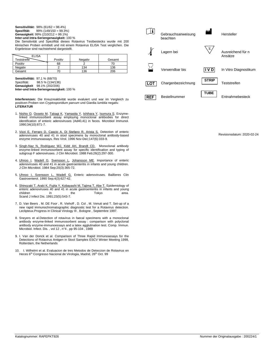**Sensitivilität:** 98% (61/62 = 98.4%)<br>**Spezifität:** 99% (149/150 = 99.39 **Spezifität:** 99% (149/150 = 99.3%)

**Genauigkeit:** 99% (210/212 = 99.1%) **Inter-und Intra-Seriengenauigkeit:** 100 %

Die Sensitivität und Spezifität dieses Rotavirus Testbestecks wurde mit 200 klinischen Proben ermittelt und mit einem Rotavirus ELISA Test verglichen. Die Ergebnisse sind nachstehend dargestellt.

| <b>ELISA</b>       |         |         |        |
|--------------------|---------|---------|--------|
| <b>Feststreife</b> | Positiv | Negativ | Gesamt |
| Positiv            | 68      |         |        |
| Negativ            |         | 134     | 136    |
| Gesamt             |         | 136     | 206    |

**Sensitivilität:** 97.1 % (68/70) Spezifität: 98.5 % (134/136) **Genauigkeit** 98.1% (202/206) **Inter-und Intra-Seriengenauigkeit:** 100 %

**Interferenzen:** Die Kreuzreaktivität wurde evaluiert und war im Vergleich zu positiven Proben von *Cryptosporidium parvum* und Giardia *lumblia* negativ. **LITERATUR**

- 1. [Nishio O,](http://www.ncbi.nlm.nih.gov/entrez/query.fcgi?db=pubmed&cmd=Search&term=%22Nishio+O%22%5BAuthor%5D) [Ooseto M,](http://www.ncbi.nlm.nih.gov/entrez/query.fcgi?db=pubmed&cmd=Search&term=%22Ooseto+M%22%5BAuthor%5D) [Takagi K,](http://www.ncbi.nlm.nih.gov/entrez/query.fcgi?db=pubmed&cmd=Search&term=%22Takagi+K%22%5BAuthor%5D) [Yamasita Y,](http://www.ncbi.nlm.nih.gov/entrez/query.fcgi?db=pubmed&cmd=Search&term=%22Yamasita+Y%22%5BAuthor%5D) [Ishihara Y,](http://www.ncbi.nlm.nih.gov/entrez/query.fcgi?db=pubmed&cmd=Search&term=%22Ishihara+Y%22%5BAuthor%5D) [Isomura S.](http://www.ncbi.nlm.nih.gov/entrez/query.fcgi?db=pubmed&cmd=Search&term=%22Isomura+S%22%5BAuthor%5D) Enzymelinked immunosorbent assay employing monoclonal antibodies for direct identification of enteric adenoviruses (Ad40,41) in feces. Microbiol Immunol. 1990;34(10):871-7.
- 2. [Vizzi E, Ferraro D, Cascio A, Di Stefano R, Arista S.](http://www.ncbi.nlm.nih.gov/entrez/query.fcgi?cmd=Retrieve&db=pubmed&dopt=Abstract&list_uids=8958586&query_hl=4) Detection of enteric adenoviruses 40 and 41 in stool specimens by monoclonal antibody-based enzyme immunoassays. Res Virol. 1996 Nov-Dec;147(6):333-9.
- 3. [Singh-Naz N, Rodriguez WJ, Kidd AH, Brandt CD.](http://www.ncbi.nlm.nih.gov/entrez/query.fcgi?cmd=Retrieve&db=pubmed&dopt=Abstract&list_uids=3343324&query_hl=4) Monoclonal antibody enzyme-linked immunosorbent assay for specific identification and typing of subgroup F adenoviruses. J Clin Microbiol. 1988 Feb;26(2):297-300.
- 4. [Uhnoo I,](http://www.ncbi.nlm.nih.gov/entrez/query.fcgi?db=pubmed&cmd=Search&term=%22Uhnoo+I%22%5BAuthor%5D) [Wadell G,](http://www.ncbi.nlm.nih.gov/entrez/query.fcgi?db=pubmed&cmd=Search&term=%22Wadell+G%22%5BAuthor%5D) [Svensson L,](http://www.ncbi.nlm.nih.gov/entrez/query.fcgi?db=pubmed&cmd=Search&term=%22Svensson+L%22%5BAuthor%5D) [Johansson ME.](http://www.ncbi.nlm.nih.gov/entrez/query.fcgi?db=pubmed&cmd=Search&term=%22Johansson+ME%22%5BAuthor%5D) Importance of enteric adenoviruses 40 and 41 in acute gastroenteritis in infants and young children. J Clin Microbiol. 1984 Sep;20(3):365-72.
- 5. Unnoo I, Svensson L, Wadell G. Enteric adenoviruses. Baillieres Clin Gastroenterol. 1990 Sep;4(3):627-42.
- 6. [Shinozaki T, Araki K, Fujita Y, Kobayashi M, Tajima T, Abe T.](http://www.ncbi.nlm.nih.gov/entrez/query.fcgi?cmd=Retrieve&db=pubmed&dopt=Abstract&list_uids=1662830&query_hl=4) Epidemiology of enteric adenoviruses 40 and 41 in acute gastroenteritis in infants and young children in the Tokyo area. Scand J Infect Dis. 1991;23(5):543-7.
- 7. D. Van Beers , M. DE Foor , R. Viehoff , D. Col , M. Venuti and T. Set-up of a new rapid immunochromatographic diagnostic test for a Rotavirus detection. Leclipteux.Progress in Clinical Virology III , Bologne , Septembre 1997.
- 8. Sneyers et al.Detection of rotavirus in faecal specimens with a monoclonal antibody enzyme-linked immunosorbent assay : comparison with polyclonal antibody enzyme-immunoessays and a latex agglutination test. Comp. Immun. Microbiol. Infect. Dis. , vol 12 , n°4 , pp 95-104 , 1989
- 9. I. Van der Donck et al. Comparison of Three Rapid Immunoassays for the Detectiono of Rotavirus Antigen in Stool Samples ESCV Winter Meeting 1999, Rotterdam, the Netherlands
- 10. I. Wilhelmi et al. Evaluacion de tres Metodos de Deteccion de Rotavirus en Heces 6<sup>th</sup> Congresso Nacional de Virologia, Madrid, 26<sup>th</sup> Oct. 99



Revisionsdatum: 2020-02-24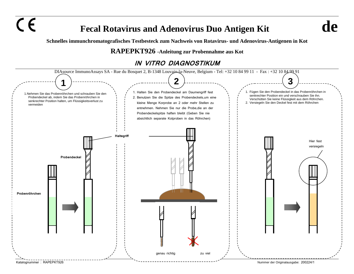$\epsilon$ 

## **Fecal Rotavirus and Adenovirus Duo Antigen Kit de**

**Schnelles immunchromatografisches Testbesteck zum Nachweis von Rotavirus- und Adenovirus-Antigenen in Kot**

## **RAPEPKT926 -Anleitung zur Probennahme aus Kot**

## **IN VITRO DIAGNOSTIKUM**